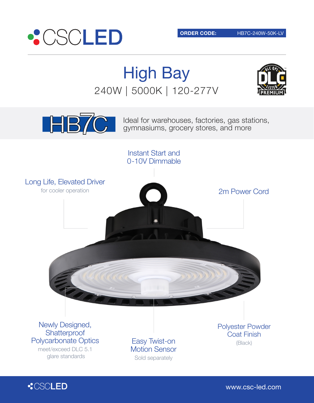

High Bay 240W | 5000K | 120-277V